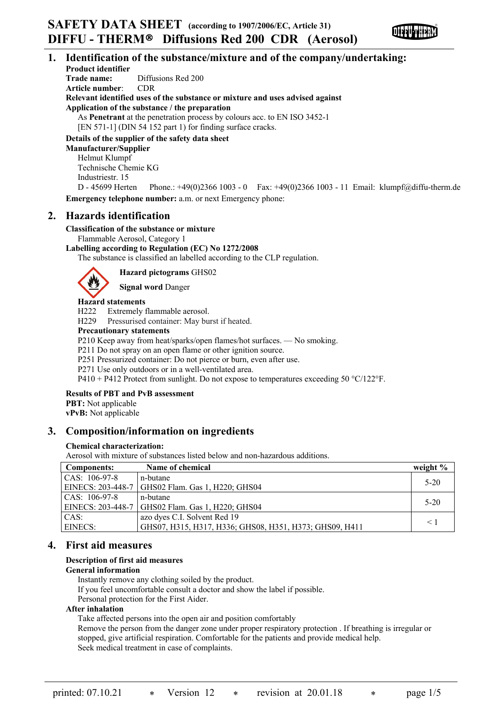## **1. Identification of the substance/mixture and of the company/undertaking: Product identifier Trade name:** Diffusions Red 200 **Article number**: CDR **Relevant identified uses of the substance or mixture and uses advised against Application of the substance / the preparation** As **Penetrant** at the penetration process by colours acc. to EN ISO 3452-1 [EN 571-1] (DIN 54 152 part 1) for finding surface cracks. **Details of the supplier of the safety data sheet Manufacturer/Supplier** Helmut Klumpf Technische Chemie KG

Industriestr. 15

D - 45699 Herten Phone.: +49(0)2366 1003 - 0 Fax: +49(0)2366 1003 - 11 Email: klumpf@diffu-therm.de **Emergency telephone number:** a.m. or next Emergency phone:

# **2. Hazards identification**

# **Classification of the substance or mixture**

Flammable Aerosol, Category 1

## **Labelling according to Regulation (EC) No 1272/2008**

The substance is classified an labelled according to the CLP regulation.



**Hazard pictograms** GHS02

**Signal word** Danger

# **Hazard statements**

H222 Extremely flammable aerosol.

H229 Pressurised container: May burst if heated.

## **Precautionary statements**

P210 Keep away from heat/sparks/open flames/hot surfaces. — No smoking.

P211 Do not spray on an open flame or other ignition source.

P251 Pressurized container: Do not pierce or burn, even after use.

P271 Use only outdoors or in a well-ventilated area.

P410 + P412 Protect from sunlight. Do not expose to temperatures exceeding 50 °C/122°F.

## **Results of PBT and PvB assessment**

**PBT:** Not applicable **vPvB:** Not applicable

# **3. Composition/information on ingredients**

## **Chemical characterization:**

Aerosol with mixture of substances listed below and non-hazardous additions.

| <b>Components:</b>      | Name of chemical                                        | weight $%$ |
|-------------------------|---------------------------------------------------------|------------|
| $\text{CAS: } 106-97-8$ | n-butane                                                | $5 - 20$   |
|                         | EINECS: 203-448-7   GHS02 Flam. Gas 1, H220; GHS04      |            |
| $\text{CAS: } 106-97-8$ | n-butane                                                | $5-20$     |
|                         | EINECS: 203-448-7   GHS02 Flam. Gas 1, H220; GHS04      |            |
| CAS:                    | azo dyes C.I. Solvent Red 19                            | $\leq 1$   |
| <b>EINECS:</b>          | GHS07, H315, H317, H336; GHS08, H351, H373; GHS09, H411 |            |

# **4. First aid measures**

# **Description of first aid measures**

## **General information**

Instantly remove any clothing soiled by the product.

If you feel uncomfortable consult a doctor and show the label if possible.

Personal protection for the First Aider.

# **After inhalation**

Take affected persons into the open air and position comfortably

Remove the person from the danger zone under proper respiratory protection . If breathing is irregular or stopped, give artificial respiration. Comfortable for the patients and provide medical help. Seek medical treatment in case of complaints.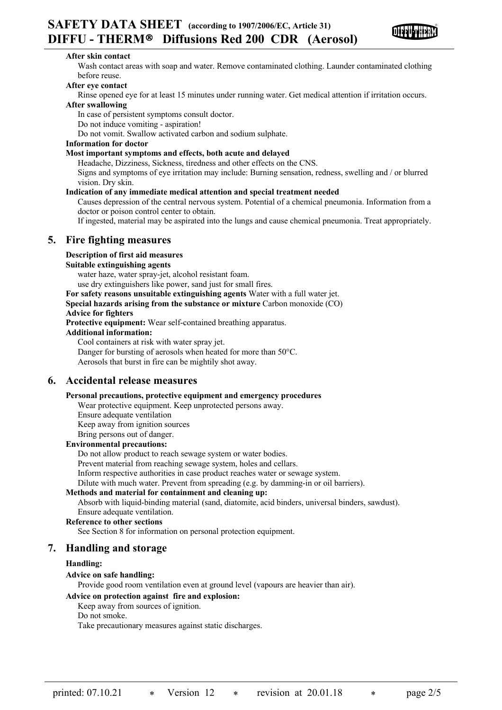

#### **After skin contact**

Wash contact areas with soap and water. Remove contaminated clothing. Launder contaminated clothing before reuse.

## **After eye contact**

Rinse opened eye for at least 15 minutes under running water. Get medical attention if irritation occurs. **After swallowing**

In case of persistent symptoms consult doctor.

Do not induce vomiting - aspiration!

Do not vomit. Swallow activated carbon and sodium sulphate.

#### **Information for doctor**

#### **Most important symptoms and effects, both acute and delayed**

Headache, Dizziness, Sickness, tiredness and other effects on the CNS.

Signs and symptoms of eye irritation may include: Burning sensation, redness, swelling and / or blurred vision. Dry skin.

#### **Indication of any immediate medical attention and special treatment needed**

Causes depression of the central nervous system. Potential of a chemical pneumonia. Information from a doctor or poison control center to obtain.

If ingested, material may be aspirated into the lungs and cause chemical pneumonia. Treat appropriately.

# **5. Fire fighting measures**

#### **Description of first aid measures**

#### **Suitable extinguishing agents**

water haze, water spray-jet, alcohol resistant foam.

use dry extinguishers like power, sand just for small fires.

**For safety reasons unsuitable extinguishing agents** Water with a full water jet.

**Special hazards arising from the substance or mixture** Carbon monoxide (CO)

#### **Advice for fighters**

**Protective equipment:** Wear self-contained breathing apparatus.

#### **Additional information:**

Cool containers at risk with water spray jet.

Danger for bursting of aerosols when heated for more than 50°C.

Aerosols that burst in fire can be mightily shot away.

# **6. Accidental release measures**

#### **Personal precautions, protective equipment and emergency procedures**

Wear protective equipment. Keep unprotected persons away.

Ensure adequate ventilation

Keep away from ignition sources

Bring persons out of danger.

#### **Environmental precautions:**

Do not allow product to reach sewage system or water bodies.

Prevent material from reaching sewage system, holes and cellars.

Inform respective authorities in case product reaches water or sewage system.

Dilute with much water. Prevent from spreading (e.g. by damming-in or oil barriers).

#### **Methods and material for containment and cleaning up:**

Absorb with liquid-binding material (sand, diatomite, acid binders, universal binders, sawdust). Ensure adequate ventilation.

#### **Reference to other sections**

See Section 8 for information on personal protection equipment.

## **7. Handling and storage**

#### **Handling:**

#### **Advice on safe handling:**

Provide good room ventilation even at ground level (vapours are heavier than air).

#### **Advice on protection against fire and explosion:**

Keep away from sources of ignition.

Do not smoke.

Take precautionary measures against static discharges.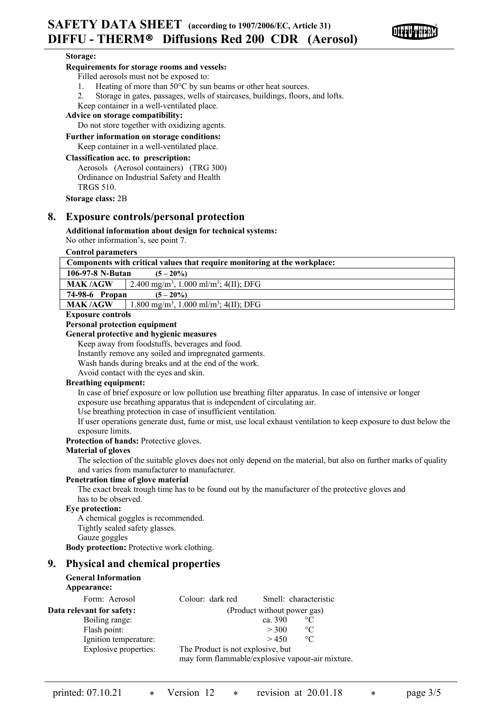

#### **Storage:**

#### **Requirements for storage rooms and vessels:**

Filled aerosols must not be exposed to:

- 1. Heating of more than 50°C by sun beams or other heat sources.
- 2. Storage in gates, passages, wells of staircases, buildings, floors, and lofts.

Keep container in a well-ventilated place.

#### **Advice on storage compatibility:**

Do not store together with oxidizing agents.

# **Further information on storage conditions:**

Keep container in a well-ventilated place.

## **Classification acc. to prescription:**

Aerosols (Aerosol containers) (TRG 300) Ordinance on Industrial Safety and Health TRGS 510.

**Storage class:** 2B

# **8. Exposure controls/personal protection**

**Additional information about design for technical systems:**

No other information's, see point 7.

#### **Control parameters**

| Components with critical values that require monitoring at the workplace: |                                                                |  |  |  |
|---------------------------------------------------------------------------|----------------------------------------------------------------|--|--|--|
| 106-97-8 N-Butan<br>$(5-20\%)$                                            |                                                                |  |  |  |
| <b>MAK/AGW</b>                                                            | 2.400 mg/m <sup>3</sup> , 1.000 ml/m <sup>3</sup> ; 4(II); DFG |  |  |  |
| 74-98-6 Propan<br>$(5-20\%)$                                              |                                                                |  |  |  |
| <b>MAK/AGW</b>                                                            | 1.800 mg/m <sup>3</sup> , 1.000 ml/m <sup>3</sup> ; 4(II); DFG |  |  |  |

#### **Exposure controls**

#### **Personal protection equipment**

# **General protective and hygienic measures**

Keep away from foodstuffs, beverages and food.

Instantly remove any soiled and impregnated garments.

Wash hands during breaks and at the end of the work.

Avoid contact with the eyes and skin.

#### **Breathing equipment:**

In case of brief exposure or low pollution use breathing filter apparatus. In case of intensive or longer exposure use breathing apparatus that is independent of circulating air.

Use breathing protection in case of insufficient ventilation.

If user operations generate dust, fume or mist, use local exhaust ventilation to keep exposure to dust below the exposure limits.

#### **Protection of hands:** Protective gloves.

#### **Material of gloves**

The selection of the suitable gloves does not only depend on the material, but also on further marks of quality and varies from manufacturer to manufacturer.

#### **Penetration time of glove material**

The exact break trough time has to be found out by the manufacturer of the protective gloves and has to be observed.

#### **Eye protection:**

A chemical goggles is recommended. Tightly sealed safety glasses. Gauze goggles **Body protection:** Protective work clothing.

# **9. Physical and chemical properties**

## **General Information Appearance:**

| Form: Aerosol             | Colour: dark red                                 | Smell: characteristic |  |  |
|---------------------------|--------------------------------------------------|-----------------------|--|--|
| Data relevant for safety: | (Product without power gas)                      |                       |  |  |
| Boiling range:            | ca. 390                                          | $\rm ^{\circ}C$       |  |  |
| Flash point:              | > 300                                            | $\rm ^{\circ}C$       |  |  |
| Ignition temperature:     | > 450                                            | $\rm ^{\circ}C$       |  |  |
| Explosive properties:     | The Product is not explosive, but                |                       |  |  |
|                           | may form flammable/explosive vapour-air mixture. |                       |  |  |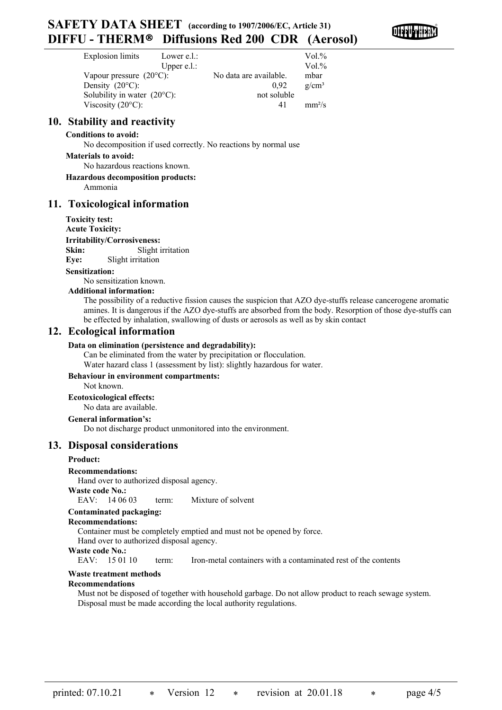# **SAFETY DATA SHEET (according to 1907/2006/EC, Article 31) DIFFU - THERM**Ò **Diffusions Red 200 CDR (Aerosol)**

| Explosion limits                      | Lower e.l.:    |                        | Vol.%    |
|---------------------------------------|----------------|------------------------|----------|
|                                       | Upper $e.l.$ : |                        | Vol.%    |
| Vapour pressure $(20^{\circ}C)$ :     |                | No data are available. | mbar     |
| Density $(20^{\circ}C)$ :             |                | 0.92                   | $g/cm^3$ |
| Solubility in water $(20^{\circ}C)$ : |                | not soluble            |          |
| Viscosity $(20^{\circ}C)$ :           |                | 41                     | $mm^2/s$ |

# **10. Stability and reactivity**

## **Conditions to avoid:**

No decomposition if used correctly. No reactions by normal use

## **Materials to avoid:**

No hazardous reactions known.

#### **Hazardous decomposition products:**

Ammonia

# **11. Toxicological information**

#### **Toxicity test:**

**Acute Toxicity: Irritability/Corrosiveness:**

Skin: Slight irritation

**Eye:** Slight irritation

#### **Sensitization:**

No sensitization known.

# **Additional information:**

The possibility of a reductive fission causes the suspicion that AZO dye-stuffs release cancerogene aromatic amines. It is dangerous if the AZO dye-stuffs are absorbed from the body. Resorption of those dye-stuffs can be effected by inhalation, swallowing of dusts or aerosols as well as by skin contact

# **12. Ecological information**

## **Data on elimination (persistence and degradability):**

Can be eliminated from the water by precipitation or flocculation. Water hazard class 1 (assessment by list): slightly hazardous for water.

# **Behaviour in environment compartments:**

Not known.

**Ecotoxicological effects:**

#### No data are available. **General information's:**

Do not discharge product unmonitored into the environment.

# **13. Disposal considerations**

# **Product:**

**Recommendations:**

Hand over to authorized disposal agency.

#### **Waste code No.:**

EAV: 14 06 03 term: Mixture of solvent

#### **Contaminated packaging:**

#### **Recommendations:**

Container must be completely emptied and must not be opened by force.

Hand over to authorized disposal agency.

# **Waste code No.:**

EAV: 15 01 10 term: Iron-metal containers with a contaminated rest of the contents

## **Waste treatment methods**

#### **Recommendations**

Must not be disposed of together with household garbage. Do not allow product to reach sewage system. Disposal must be made according the local authority regulations.